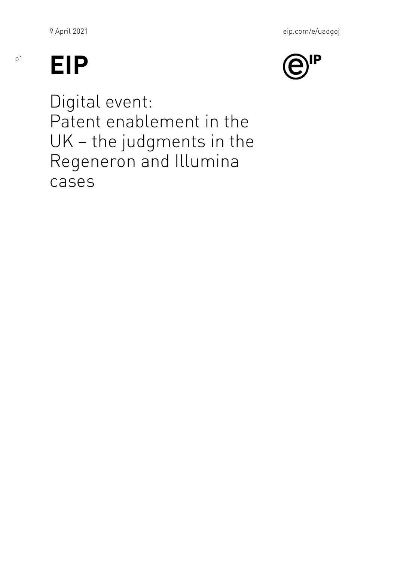## EIP

p1

Digital event: Patent enablement in the UK the judgments in the Regeneron and Illumina cases